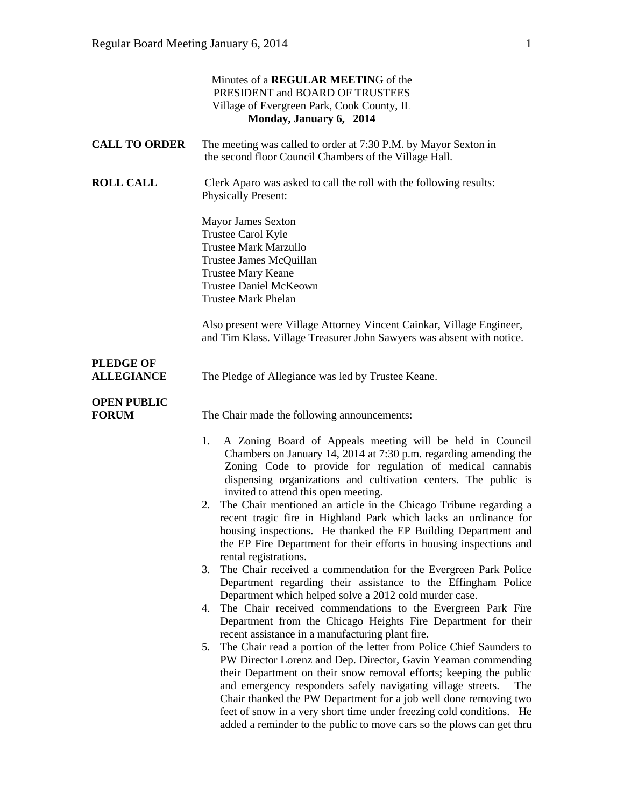|                                       | Minutes of a REGULAR MEETING of the<br>PRESIDENT and BOARD OF TRUSTEES<br>Village of Evergreen Park, Cook County, IL<br>Monday, January 6, 2014                                                                                                                                                                                                                                                                                                                                                                                                                                                                                                                                                                                                                                                                                                                                                                                                                                                                                                                                                                                                                                                                                                                                                                                                                                                                                                                                                                                            |
|---------------------------------------|--------------------------------------------------------------------------------------------------------------------------------------------------------------------------------------------------------------------------------------------------------------------------------------------------------------------------------------------------------------------------------------------------------------------------------------------------------------------------------------------------------------------------------------------------------------------------------------------------------------------------------------------------------------------------------------------------------------------------------------------------------------------------------------------------------------------------------------------------------------------------------------------------------------------------------------------------------------------------------------------------------------------------------------------------------------------------------------------------------------------------------------------------------------------------------------------------------------------------------------------------------------------------------------------------------------------------------------------------------------------------------------------------------------------------------------------------------------------------------------------------------------------------------------------|
| <b>CALL TO ORDER</b>                  | The meeting was called to order at 7:30 P.M. by Mayor Sexton in<br>the second floor Council Chambers of the Village Hall.                                                                                                                                                                                                                                                                                                                                                                                                                                                                                                                                                                                                                                                                                                                                                                                                                                                                                                                                                                                                                                                                                                                                                                                                                                                                                                                                                                                                                  |
| <b>ROLL CALL</b>                      | Clerk Aparo was asked to call the roll with the following results:<br><b>Physically Present:</b>                                                                                                                                                                                                                                                                                                                                                                                                                                                                                                                                                                                                                                                                                                                                                                                                                                                                                                                                                                                                                                                                                                                                                                                                                                                                                                                                                                                                                                           |
|                                       | <b>Mayor James Sexton</b><br>Trustee Carol Kyle<br><b>Trustee Mark Marzullo</b><br>Trustee James McQuillan<br><b>Trustee Mary Keane</b><br><b>Trustee Daniel McKeown</b><br><b>Trustee Mark Phelan</b>                                                                                                                                                                                                                                                                                                                                                                                                                                                                                                                                                                                                                                                                                                                                                                                                                                                                                                                                                                                                                                                                                                                                                                                                                                                                                                                                     |
|                                       | Also present were Village Attorney Vincent Cainkar, Village Engineer,<br>and Tim Klass. Village Treasurer John Sawyers was absent with notice.                                                                                                                                                                                                                                                                                                                                                                                                                                                                                                                                                                                                                                                                                                                                                                                                                                                                                                                                                                                                                                                                                                                                                                                                                                                                                                                                                                                             |
| <b>PLEDGE OF</b><br><b>ALLEGIANCE</b> | The Pledge of Allegiance was led by Trustee Keane.                                                                                                                                                                                                                                                                                                                                                                                                                                                                                                                                                                                                                                                                                                                                                                                                                                                                                                                                                                                                                                                                                                                                                                                                                                                                                                                                                                                                                                                                                         |
| <b>OPEN PUBLIC</b><br><b>FORUM</b>    | The Chair made the following announcements:                                                                                                                                                                                                                                                                                                                                                                                                                                                                                                                                                                                                                                                                                                                                                                                                                                                                                                                                                                                                                                                                                                                                                                                                                                                                                                                                                                                                                                                                                                |
|                                       | 1.<br>A Zoning Board of Appeals meeting will be held in Council<br>Chambers on January 14, 2014 at 7:30 p.m. regarding amending the<br>Zoning Code to provide for regulation of medical cannabis<br>dispensing organizations and cultivation centers. The public is<br>invited to attend this open meeting.<br>The Chair mentioned an article in the Chicago Tribune regarding a<br>2.<br>recent tragic fire in Highland Park which lacks an ordinance for<br>housing inspections. He thanked the EP Building Department and<br>the EP Fire Department for their efforts in housing inspections and<br>rental registrations.<br>The Chair received a commendation for the Evergreen Park Police<br>3.<br>Department regarding their assistance to the Effingham Police<br>Department which helped solve a 2012 cold murder case.<br>The Chair received commendations to the Evergreen Park Fire<br>4.<br>Department from the Chicago Heights Fire Department for their<br>recent assistance in a manufacturing plant fire.<br>The Chair read a portion of the letter from Police Chief Saunders to<br>5.<br>PW Director Lorenz and Dep. Director, Gavin Yeaman commending<br>their Department on their snow removal efforts; keeping the public<br>and emergency responders safely navigating village streets.<br>The<br>Chair thanked the PW Department for a job well done removing two<br>feet of snow in a very short time under freezing cold conditions. He<br>added a reminder to the public to move cars so the plows can get thru |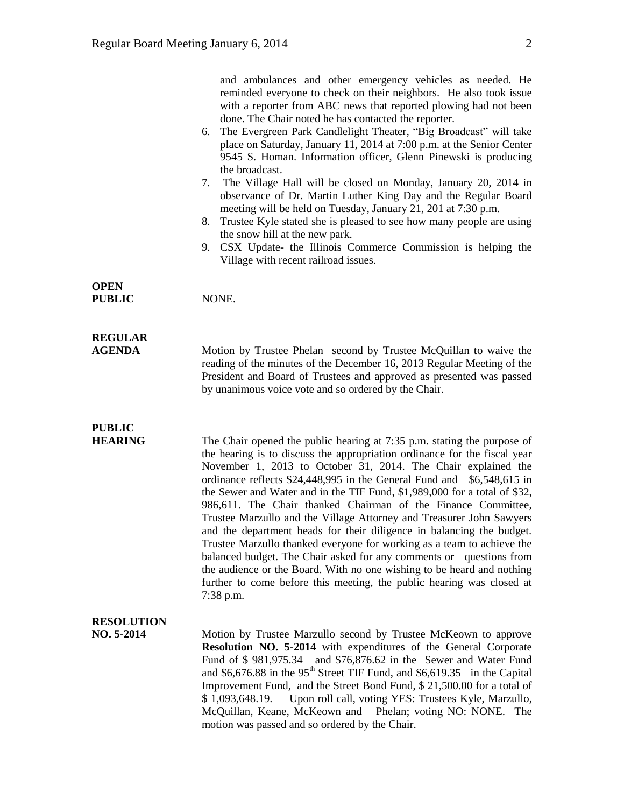|                                 | and ambulances and other emergency vehicles as needed. He<br>reminded everyone to check on their neighbors. He also took issue<br>with a reporter from ABC news that reported plowing had not been<br>done. The Chair noted he has contacted the reporter.<br>The Evergreen Park Candlelight Theater, "Big Broadcast" will take<br>6.<br>place on Saturday, January 11, 2014 at 7:00 p.m. at the Senior Center<br>9545 S. Homan. Information officer, Glenn Pinewski is producing<br>the broadcast.<br>The Village Hall will be closed on Monday, January 20, 2014 in<br>7.<br>observance of Dr. Martin Luther King Day and the Regular Board<br>meeting will be held on Tuesday, January 21, 201 at 7:30 p.m.<br>Trustee Kyle stated she is pleased to see how many people are using<br>8.<br>the snow hill at the new park.<br>9. CSX Update- the Illinois Commerce Commission is helping the<br>Village with recent railroad issues. |
|---------------------------------|-----------------------------------------------------------------------------------------------------------------------------------------------------------------------------------------------------------------------------------------------------------------------------------------------------------------------------------------------------------------------------------------------------------------------------------------------------------------------------------------------------------------------------------------------------------------------------------------------------------------------------------------------------------------------------------------------------------------------------------------------------------------------------------------------------------------------------------------------------------------------------------------------------------------------------------------|
| <b>OPEN</b><br><b>PUBLIC</b>    | NONE.                                                                                                                                                                                                                                                                                                                                                                                                                                                                                                                                                                                                                                                                                                                                                                                                                                                                                                                                   |
| <b>REGULAR</b><br><b>AGENDA</b> | Motion by Trustee Phelan second by Trustee McQuillan to waive the<br>reading of the minutes of the December 16, 2013 Regular Meeting of the<br>President and Board of Trustees and approved as presented was passed<br>by unanimous voice vote and so ordered by the Chair.                                                                                                                                                                                                                                                                                                                                                                                                                                                                                                                                                                                                                                                             |
| <b>PUBLIC</b><br><b>HEARING</b> | The Chair opened the public hearing at $7:35$ p.m. stating the purpose of<br>the hearing is to discuss the appropriation ordinance for the fiscal year<br>November 1, 2013 to October 31, 2014. The Chair explained the<br>ordinance reflects \$24,448,995 in the General Fund and<br>$$6,548,615$ in<br>the Sewer and Water and in the TIF Fund, \$1,989,000 for a total of \$32,<br>986,611. The Chair thanked Chairman of the Finance Committee,<br>Trustee Marzullo and the Village Attorney and Treasurer John Sawyers<br>and the department heads for their diligence in balancing the budget.<br>Trustee Marzullo thanked everyone for working as a team to achieve the<br>balanced budget. The Chair asked for any comments or questions from<br>the audience or the Board. With no one wishing to be heard and nothing<br>further to come before this meeting, the public hearing was closed at<br>7:38 p.m.                   |
| <b>RESOLUTION</b><br>NO. 5-2014 | Motion by Trustee Marzullo second by Trustee McKeown to approve<br><b>Resolution NO. 5-2014</b> with expenditures of the General Corporate<br>Fund of \$981,975.34 and \$76,876.62 in the Sewer and Water Fund<br>and \$6,676.88 in the $95th$ Street TIF Fund, and \$6,619.35 in the Capital<br>Improvement Fund, and the Street Bond Fund, \$ 21,500.00 for a total of<br>Upon roll call, voting YES: Trustees Kyle, Marzullo,<br>\$1,093,648.19.<br>McQuillan, Keane, McKeown and Phelan; voting NO: NONE. The<br>motion was passed and so ordered by the Chair.                                                                                                                                                                                                                                                                                                                                                                     |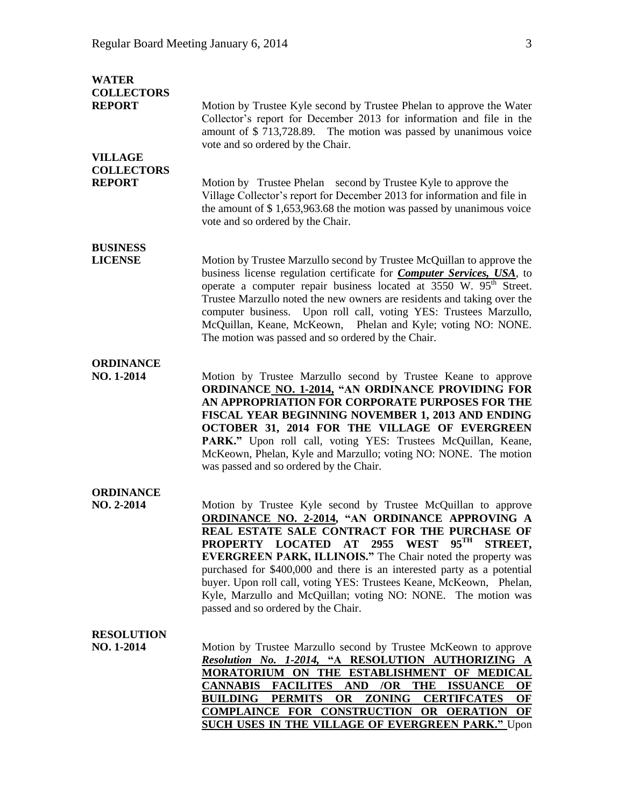| <b>WATER</b><br><b>COLLECTORS</b><br><b>REPORT</b><br><b>VILLAGE</b> | Motion by Trustee Kyle second by Trustee Phelan to approve the Water<br>Collector's report for December 2013 for information and file in the<br>amount of \$713,728.89. The motion was passed by unanimous voice<br>vote and so ordered by the Chair.                                                                                                                                                                                                                                                                                                                              |
|----------------------------------------------------------------------|------------------------------------------------------------------------------------------------------------------------------------------------------------------------------------------------------------------------------------------------------------------------------------------------------------------------------------------------------------------------------------------------------------------------------------------------------------------------------------------------------------------------------------------------------------------------------------|
| <b>COLLECTORS</b><br><b>REPORT</b>                                   | Motion by Trustee Phelan second by Trustee Kyle to approve the<br>Village Collector's report for December 2013 for information and file in<br>the amount of $$1,653,963.68$ the motion was passed by unanimous voice<br>vote and so ordered by the Chair.                                                                                                                                                                                                                                                                                                                          |
| <b>BUSINESS</b><br><b>LICENSE</b>                                    | Motion by Trustee Marzullo second by Trustee McQuillan to approve the<br>business license regulation certificate for <b>Computer Services</b> , USA, to<br>operate a computer repair business located at 3550 W. 95 <sup>th</sup> Street.<br>Trustee Marzullo noted the new owners are residents and taking over the<br>computer business. Upon roll call, voting YES: Trustees Marzullo,<br>McQuillan, Keane, McKeown, Phelan and Kyle; voting NO: NONE.<br>The motion was passed and so ordered by the Chair.                                                                    |
| <b>ORDINANCE</b><br>NO. 1-2014                                       | Motion by Trustee Marzullo second by Trustee Keane to approve<br><b>ORDINANCE NO. 1-2014, "AN ORDINANCE PROVIDING FOR</b><br>AN APPROPRIATION FOR CORPORATE PURPOSES FOR THE<br>FISCAL YEAR BEGINNING NOVEMBER 1, 2013 AND ENDING<br>OCTOBER 31, 2014 FOR THE VILLAGE OF EVERGREEN<br>PARK." Upon roll call, voting YES: Trustees McQuillan, Keane,<br>McKeown, Phelan, Kyle and Marzullo; voting NO: NONE. The motion<br>was passed and so ordered by the Chair.                                                                                                                  |
| <b>ORDINANCE</b><br>NO. 2-2014                                       | Motion by Trustee Kyle second by Trustee McQuillan to approve<br>ORDINANCE NO. 2-2014, "AN ORDINANCE APPROVING A<br>REAL ESTATE SALE CONTRACT FOR THE PURCHASE OF<br>$95^{\text{TH}}$<br>PROPERTY LOCATED AT 2955<br><b>WEST</b><br><b>STREET,</b><br><b>EVERGREEN PARK, ILLINOIS."</b> The Chair noted the property was<br>purchased for \$400,000 and there is an interested party as a potential<br>buyer. Upon roll call, voting YES: Trustees Keane, McKeown, Phelan,<br>Kyle, Marzullo and McQuillan; voting NO: NONE. The motion was<br>passed and so ordered by the Chair. |
| <b>RESOLUTION</b><br>NO. 1-2014                                      | Motion by Trustee Marzullo second by Trustee McKeown to approve<br>Resolution No. 1-2014, "A RESOLUTION AUTHORIZING A<br>MORATORIUM ON THE ESTABLISHMENT OF MEDICAL<br>CANNABIS FACILITES AND /OR THE ISSUANCE<br>OF<br><b>BUILDING</b><br><b>PERMITS</b><br>OR<br><b>ZONING</b><br><b>CERTIFCATES</b><br>OF<br>COMPLAINCE FOR CONSTRUCTION OR OERATION<br>OF<br><b>SUCH USES IN THE VILLAGE OF EVERGREEN PARK." Upon</b>                                                                                                                                                          |